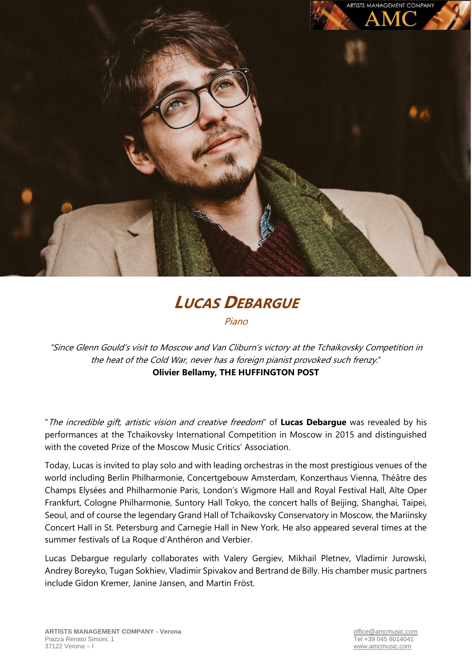

## **LUCAS DEBARGUE**

Piano

"Since Glenn Gould's visit to Moscow and Van Cliburn's victory at the Tchaikovsky Competition in the heat of the Cold War, never has a foreign pianist provoked such frenzy." **Olivier Bellamy, THE HUFFINGTON POST**

"The incredible gift, artistic vision and creative freedom" of **Lucas Debargue** was revealed by his performances at the Tchaikovsky International Competition in Moscow in 2015 and distinguished with the coveted Prize of the Moscow Music Critics' Association.

Today, Lucas is invited to play solo and with leading orchestras in the most prestigious venues of the world including Berlin Philharmonie, Concertgebouw Amsterdam, Konzerthaus Vienna, Théâtre des Champs Elysées and Philharmonie Paris, London's Wigmore Hall and Royal Festival Hall, Alte Oper Frankfurt, Cologne Philharmonie, Suntory Hall Tokyo, the concert halls of Beijing, Shanghai, Taipei, Seoul, and of course the legendary Grand Hall of Tchaikovsky Conservatory in Moscow, the Mariinsky Concert Hall in St. Petersburg and Carnegie Hall in New York. He also appeared several times at the summer festivals of La Roque d'Anthéron and Verbier.

Lucas Debargue regularly collaborates with Valery Gergiev, Mikhail Pletnev, Vladimir Jurowski, Andrey Boreyko, Tugan Sokhiev, Vladimir Spivakov and Bertrand de Billy. His chamber music partners include Gidon Kremer, Janine Jansen, and Martin Fröst.